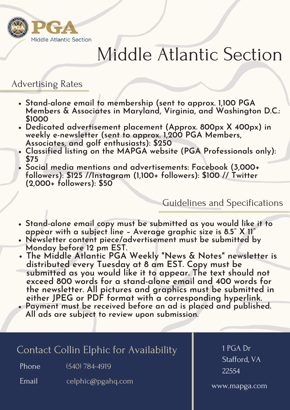

# Middle Atlantic Section

### Advertising Rates

- **Stand-alone email to membership (sent to approx. 1,100 PGA Members & Associates in Maryland, Virginia, and Washington D.C.: \$1000**
- **Dedicated advertisement placement (Approx. 800px X 400px) in weekly e-newsletter (sent to approx. 1,200 PGA Members, Associates, and golf enthusiasts): \$250**
- **Classified listing on the MAPGA website (PGA Professionals only): \$75**
- **Social media mentions and advertisements: Facebook (3,000+ followers): \$125 //Instagram (1,100+ followers): \$100 // Twitter (2,000+ followers): \$50**

#### Guidelines and Specifications

- **Stand-alone email copy must be submitted as you would like it to appear with a subject line – Average graphic size is 8.5" X 11"**
- **Newsletter content piece/advertisement must be submitted by Monday before 12 pm EST.**
- **The Middle Atlantic PGA Weekly "News & Notes " newsletter is distributed every Tuesday at 8 am EST. Copy must be submitted as you would like it to appear. The text should not exceed 800 words for a stand-alone email and 400 words for the newsletter. All pictures and graphics must be submitted in either JPEG or PDF format with a corresponding hyperlink.**
- **Payment must be received before an ad is placed and published. All ads are subject to review upon submission.**

#### Contact Collin Elphic for Availability

Phone (540) 784-4919

Email celphic@pgahq.com 1 PGA Dr Stafford, VA 22554

www.mapga.com